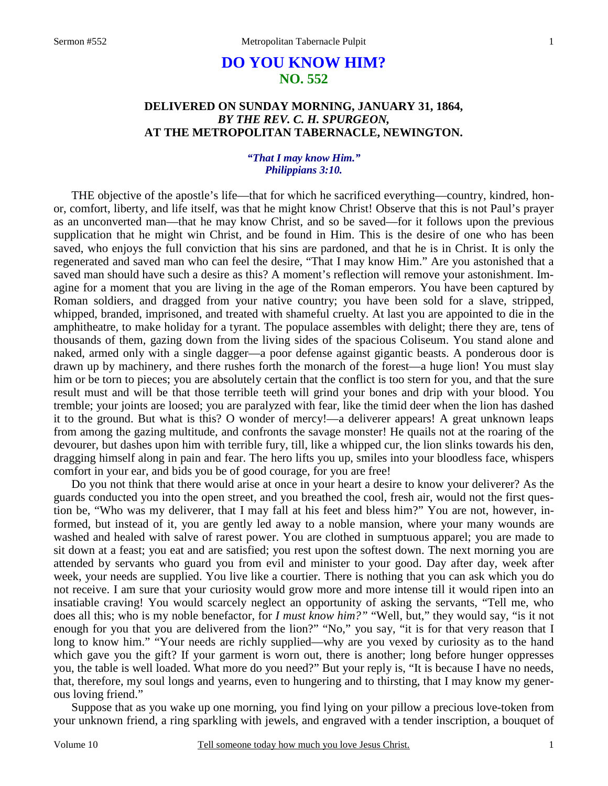# **DO YOU KNOW HIM? NO. 552**

# **DELIVERED ON SUNDAY MORNING, JANUARY 31, 1864,**  *BY THE REV. C. H. SPURGEON,*  **AT THE METROPOLITAN TABERNACLE, NEWINGTON.**

### *"That I may know Him." Philippians 3:10.*

THE objective of the apostle's life—that for which he sacrificed everything—country, kindred, honor, comfort, liberty, and life itself, was that he might know Christ! Observe that this is not Paul's prayer as an unconverted man—that he may know Christ, and so be saved—for it follows upon the previous supplication that he might win Christ, and be found in Him. This is the desire of one who has been saved, who enjoys the full conviction that his sins are pardoned, and that he is in Christ. It is only the regenerated and saved man who can feel the desire, "That I may know Him." Are you astonished that a saved man should have such a desire as this? A moment's reflection will remove your astonishment. Imagine for a moment that you are living in the age of the Roman emperors. You have been captured by Roman soldiers, and dragged from your native country; you have been sold for a slave, stripped, whipped, branded, imprisoned, and treated with shameful cruelty. At last you are appointed to die in the amphitheatre, to make holiday for a tyrant. The populace assembles with delight; there they are, tens of thousands of them, gazing down from the living sides of the spacious Coliseum. You stand alone and naked, armed only with a single dagger—a poor defense against gigantic beasts. A ponderous door is drawn up by machinery, and there rushes forth the monarch of the forest—a huge lion! You must slay him or be torn to pieces; you are absolutely certain that the conflict is too stern for you, and that the sure result must and will be that those terrible teeth will grind your bones and drip with your blood. You tremble; your joints are loosed; you are paralyzed with fear, like the timid deer when the lion has dashed it to the ground. But what is this? O wonder of mercy!—a deliverer appears! A great unknown leaps from among the gazing multitude, and confronts the savage monster! He quails not at the roaring of the devourer, but dashes upon him with terrible fury, till, like a whipped cur, the lion slinks towards his den, dragging himself along in pain and fear. The hero lifts you up, smiles into your bloodless face, whispers comfort in your ear, and bids you be of good courage, for you are free!

Do you not think that there would arise at once in your heart a desire to know your deliverer? As the guards conducted you into the open street, and you breathed the cool, fresh air, would not the first question be, "Who was my deliverer, that I may fall at his feet and bless him?" You are not, however, informed, but instead of it, you are gently led away to a noble mansion, where your many wounds are washed and healed with salve of rarest power. You are clothed in sumptuous apparel; you are made to sit down at a feast; you eat and are satisfied; you rest upon the softest down. The next morning you are attended by servants who guard you from evil and minister to your good. Day after day, week after week, your needs are supplied. You live like a courtier. There is nothing that you can ask which you do not receive. I am sure that your curiosity would grow more and more intense till it would ripen into an insatiable craving! You would scarcely neglect an opportunity of asking the servants, "Tell me, who does all this; who is my noble benefactor, for *I must know him?"* "Well, but," they would say, "is it not enough for you that you are delivered from the lion?" "No," you say, "it is for that very reason that I long to know him." "Your needs are richly supplied—why are you vexed by curiosity as to the hand which gave you the gift? If your garment is worn out, there is another; long before hunger oppresses you, the table is well loaded. What more do you need?" But your reply is, "It is because I have no needs, that, therefore, my soul longs and yearns, even to hungering and to thirsting, that I may know my generous loving friend."

Suppose that as you wake up one morning, you find lying on your pillow a precious love-token from your unknown friend, a ring sparkling with jewels, and engraved with a tender inscription, a bouquet of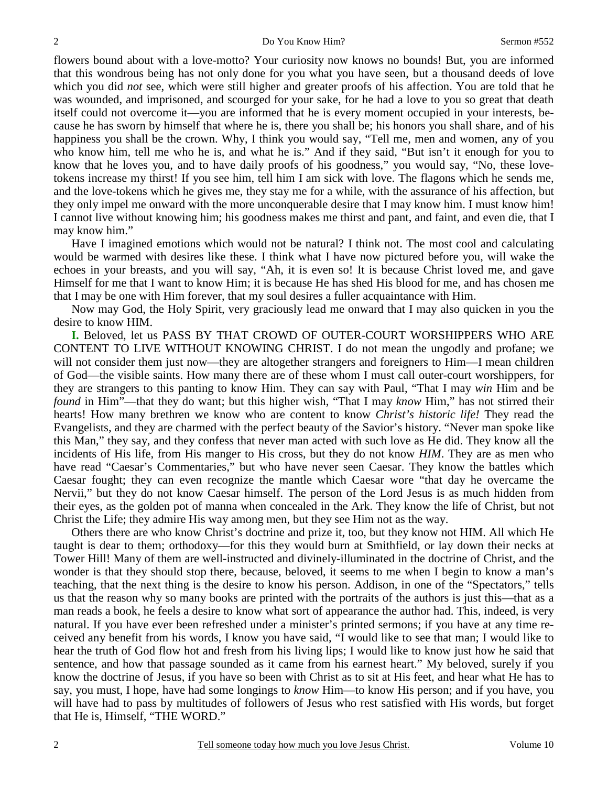flowers bound about with a love-motto? Your curiosity now knows no bounds! But, you are informed that this wondrous being has not only done for you what you have seen, but a thousand deeds of love which you did *not* see, which were still higher and greater proofs of his affection. You are told that he was wounded, and imprisoned, and scourged for your sake, for he had a love to you so great that death itself could not overcome it—you are informed that he is every moment occupied in your interests, because he has sworn by himself that where he is, there you shall be; his honors you shall share, and of his happiness you shall be the crown. Why, I think you would say, "Tell me, men and women, any of you who know him, tell me who he is, and what he is." And if they said, "But isn't it enough for you to know that he loves you, and to have daily proofs of his goodness," you would say, "No, these lovetokens increase my thirst! If you see him, tell him I am sick with love. The flagons which he sends me, and the love-tokens which he gives me, they stay me for a while, with the assurance of his affection, but they only impel me onward with the more unconquerable desire that I may know him. I must know him! I cannot live without knowing him; his goodness makes me thirst and pant, and faint, and even die, that I may know him."

Have I imagined emotions which would not be natural? I think not. The most cool and calculating would be warmed with desires like these. I think what I have now pictured before you, will wake the echoes in your breasts, and you will say, "Ah, it is even so! It is because Christ loved me, and gave Himself for me that I want to know Him; it is because He has shed His blood for me, and has chosen me that I may be one with Him forever, that my soul desires a fuller acquaintance with Him.

Now may God, the Holy Spirit, very graciously lead me onward that I may also quicken in you the desire to know HIM.

**I.** Beloved, let us PASS BY THAT CROWD OF OUTER-COURT WORSHIPPERS WHO ARE CONTENT TO LIVE WITHOUT KNOWING CHRIST. I do not mean the ungodly and profane; we will not consider them just now—they are altogether strangers and foreigners to Him—I mean children of God—the visible saints. How many there are of these whom I must call outer-court worshippers, for they are strangers to this panting to know Him. They can say with Paul, "That I may *win* Him and be *found* in Him"—that they do want; but this higher wish, "That I may *know* Him," has not stirred their hearts! How many brethren we know who are content to know *Christ's historic life!* They read the Evangelists, and they are charmed with the perfect beauty of the Savior's history. "Never man spoke like this Man," they say, and they confess that never man acted with such love as He did. They know all the incidents of His life, from His manger to His cross, but they do not know *HIM*. They are as men who have read "Caesar's Commentaries," but who have never seen Caesar. They know the battles which Caesar fought; they can even recognize the mantle which Caesar wore "that day he overcame the Nervii," but they do not know Caesar himself. The person of the Lord Jesus is as much hidden from their eyes, as the golden pot of manna when concealed in the Ark. They know the life of Christ, but not Christ the Life; they admire His way among men, but they see Him not as the way.

Others there are who know Christ's doctrine and prize it, too, but they know not HIM. All which He taught is dear to them; orthodoxy—for this they would burn at Smithfield, or lay down their necks at Tower Hill! Many of them are well-instructed and divinely-illuminated in the doctrine of Christ, and the wonder is that they should stop there, because, beloved, it seems to me when I begin to know a man's teaching, that the next thing is the desire to know his person. Addison, in one of the "Spectators," tells us that the reason why so many books are printed with the portraits of the authors is just this—that as a man reads a book, he feels a desire to know what sort of appearance the author had. This, indeed, is very natural. If you have ever been refreshed under a minister's printed sermons; if you have at any time received any benefit from his words, I know you have said, "I would like to see that man; I would like to hear the truth of God flow hot and fresh from his living lips; I would like to know just how he said that sentence, and how that passage sounded as it came from his earnest heart." My beloved, surely if you know the doctrine of Jesus, if you have so been with Christ as to sit at His feet, and hear what He has to say, you must, I hope, have had some longings to *know* Him—to know His person; and if you have, you will have had to pass by multitudes of followers of Jesus who rest satisfied with His words, but forget that He is, Himself, "THE WORD."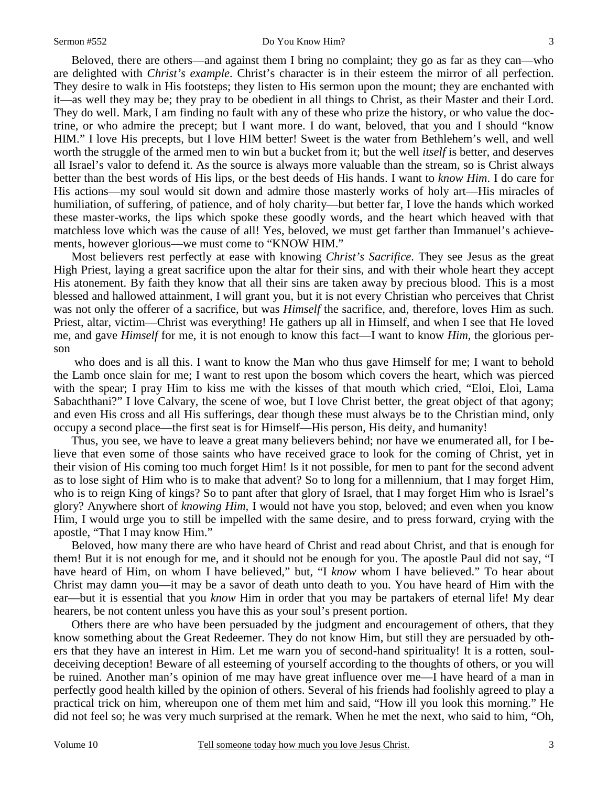#### Sermon #552 Do You Know Him?

Beloved, there are others—and against them I bring no complaint; they go as far as they can—who are delighted with *Christ's example*. Christ's character is in their esteem the mirror of all perfection. They desire to walk in His footsteps; they listen to His sermon upon the mount; they are enchanted with it—as well they may be; they pray to be obedient in all things to Christ, as their Master and their Lord. They do well. Mark, I am finding no fault with any of these who prize the history, or who value the doctrine, or who admire the precept; but I want more. I do want, beloved, that you and I should "know HIM." I love His precepts, but I love HIM better! Sweet is the water from Bethlehem's well, and well worth the struggle of the armed men to win but a bucket from it; but the well *itself* is better, and deserves all Israel's valor to defend it. As the source is always more valuable than the stream, so is Christ always better than the best words of His lips, or the best deeds of His hands. I want to *know Him*. I do care for His actions—my soul would sit down and admire those masterly works of holy art—His miracles of humiliation, of suffering, of patience, and of holy charity—but better far, I love the hands which worked these master-works, the lips which spoke these goodly words, and the heart which heaved with that matchless love which was the cause of all! Yes, beloved, we must get farther than Immanuel's achievements, however glorious—we must come to "KNOW HIM."

Most believers rest perfectly at ease with knowing *Christ's Sacrifice*. They see Jesus as the great High Priest, laying a great sacrifice upon the altar for their sins, and with their whole heart they accept His atonement. By faith they know that all their sins are taken away by precious blood. This is a most blessed and hallowed attainment, I will grant you, but it is not every Christian who perceives that Christ was not only the offerer of a sacrifice, but was *Himself* the sacrifice, and, therefore, loves Him as such. Priest, altar, victim—Christ was everything! He gathers up all in Himself, and when I see that He loved me, and gave *Himself* for me, it is not enough to know this fact—I want to know *Him,* the glorious person

 who does and is all this. I want to know the Man who thus gave Himself for me; I want to behold the Lamb once slain for me; I want to rest upon the bosom which covers the heart, which was pierced with the spear; I pray Him to kiss me with the kisses of that mouth which cried, "Eloi, Eloi, Lama Sabachthani?" I love Calvary, the scene of woe, but I love Christ better, the great object of that agony; and even His cross and all His sufferings, dear though these must always be to the Christian mind, only occupy a second place—the first seat is for Himself—His person, His deity, and humanity!

Thus, you see, we have to leave a great many believers behind; nor have we enumerated all, for I believe that even some of those saints who have received grace to look for the coming of Christ, yet in their vision of His coming too much forget Him! Is it not possible, for men to pant for the second advent as to lose sight of Him who is to make that advent? So to long for a millennium, that I may forget Him, who is to reign King of kings? So to pant after that glory of Israel, that I may forget Him who is Israel's glory? Anywhere short of *knowing Him,* I would not have you stop, beloved; and even when you know Him, I would urge you to still be impelled with the same desire, and to press forward, crying with the apostle, "That I may know Him."

Beloved, how many there are who have heard of Christ and read about Christ, and that is enough for them! But it is not enough for me, and it should not be enough for you. The apostle Paul did not say, "I have heard of Him, on whom I have believed," but, "I *know* whom I have believed." To hear about Christ may damn you—it may be a savor of death unto death to you. You have heard of Him with the ear—but it is essential that you *know* Him in order that you may be partakers of eternal life! My dear hearers, be not content unless you have this as your soul's present portion.

Others there are who have been persuaded by the judgment and encouragement of others, that they know something about the Great Redeemer. They do not know Him, but still they are persuaded by others that they have an interest in Him. Let me warn you of second-hand spirituality! It is a rotten, souldeceiving deception! Beware of all esteeming of yourself according to the thoughts of others, or you will be ruined. Another man's opinion of me may have great influence over me—I have heard of a man in perfectly good health killed by the opinion of others. Several of his friends had foolishly agreed to play a practical trick on him, whereupon one of them met him and said, "How ill you look this morning." He did not feel so; he was very much surprised at the remark. When he met the next, who said to him, "Oh,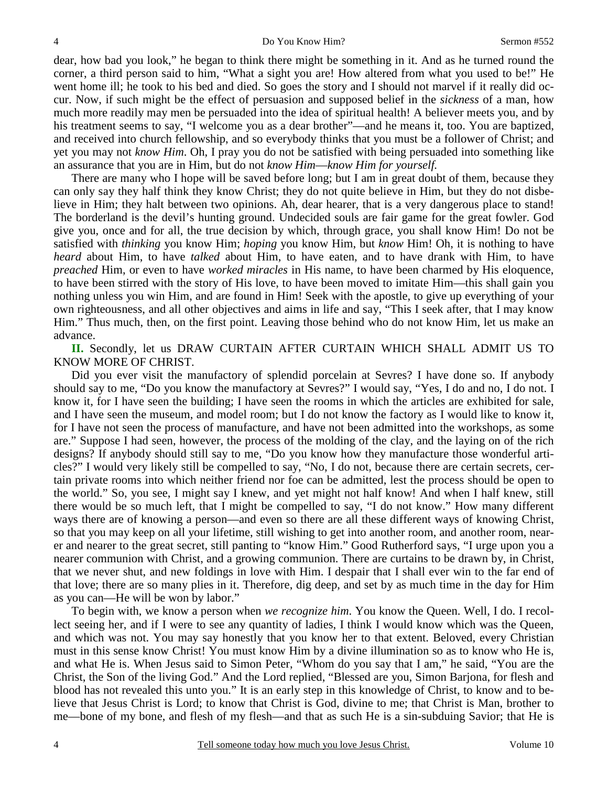dear, how bad you look," he began to think there might be something in it. And as he turned round the corner, a third person said to him, "What a sight you are! How altered from what you used to be!" He went home ill; he took to his bed and died. So goes the story and I should not marvel if it really did occur. Now, if such might be the effect of persuasion and supposed belief in the *sickness* of a man, how much more readily may men be persuaded into the idea of spiritual health! A believer meets you, and by his treatment seems to say, "I welcome you as a dear brother"—and he means it, too. You are baptized, and received into church fellowship, and so everybody thinks that you must be a follower of Christ; and yet you may not *know Him*. Oh, I pray you do not be satisfied with being persuaded into something like an assurance that you are in Him, but do not *know Him*—*know Him for yourself.* 

There are many who I hope will be saved before long; but I am in great doubt of them, because they can only say they half think they know Christ; they do not quite believe in Him, but they do not disbelieve in Him; they halt between two opinions. Ah, dear hearer, that is a very dangerous place to stand! The borderland is the devil's hunting ground. Undecided souls are fair game for the great fowler. God give you, once and for all, the true decision by which, through grace, you shall know Him! Do not be satisfied with *thinking* you know Him; *hoping* you know Him, but *know* Him! Oh, it is nothing to have *heard* about Him, to have *talked* about Him, to have eaten, and to have drank with Him, to have *preached* Him, or even to have *worked miracles* in His name, to have been charmed by His eloquence, to have been stirred with the story of His love, to have been moved to imitate Him—this shall gain you nothing unless you win Him, and are found in Him! Seek with the apostle, to give up everything of your own righteousness, and all other objectives and aims in life and say, "This I seek after, that I may know Him." Thus much, then, on the first point. Leaving those behind who do not know Him, let us make an advance.

**II.** Secondly, let us DRAW CURTAIN AFTER CURTAIN WHICH SHALL ADMIT US TO KNOW MORE OF CHRIST.

Did you ever visit the manufactory of splendid porcelain at Sevres? I have done so. If anybody should say to me, "Do you know the manufactory at Sevres?" I would say, "Yes, I do and no, I do not. I know it, for I have seen the building; I have seen the rooms in which the articles are exhibited for sale, and I have seen the museum, and model room; but I do not know the factory as I would like to know it, for I have not seen the process of manufacture, and have not been admitted into the workshops, as some are." Suppose I had seen, however, the process of the molding of the clay, and the laying on of the rich designs? If anybody should still say to me, "Do you know how they manufacture those wonderful articles?" I would very likely still be compelled to say, "No, I do not, because there are certain secrets, certain private rooms into which neither friend nor foe can be admitted, lest the process should be open to the world." So, you see, I might say I knew, and yet might not half know! And when I half knew, still there would be so much left, that I might be compelled to say, "I do not know." How many different ways there are of knowing a person—and even so there are all these different ways of knowing Christ, so that you may keep on all your lifetime, still wishing to get into another room, and another room, nearer and nearer to the great secret, still panting to "know Him." Good Rutherford says, "I urge upon you a nearer communion with Christ, and a growing communion. There are curtains to be drawn by, in Christ, that we never shut, and new foldings in love with Him. I despair that I shall ever win to the far end of that love; there are so many plies in it. Therefore, dig deep, and set by as much time in the day for Him as you can—He will be won by labor."

To begin with, we know a person when *we recognize him*. You know the Queen. Well, I do. I recollect seeing her, and if I were to see any quantity of ladies, I think I would know which was the Queen, and which was not. You may say honestly that you know her to that extent. Beloved, every Christian must in this sense know Christ! You must know Him by a divine illumination so as to know who He is, and what He is. When Jesus said to Simon Peter, "Whom do you say that I am," he said, "You are the Christ, the Son of the living God." And the Lord replied, "Blessed are you, Simon Barjona, for flesh and blood has not revealed this unto you." It is an early step in this knowledge of Christ, to know and to believe that Jesus Christ is Lord; to know that Christ is God, divine to me; that Christ is Man, brother to me—bone of my bone, and flesh of my flesh—and that as such He is a sin-subduing Savior; that He is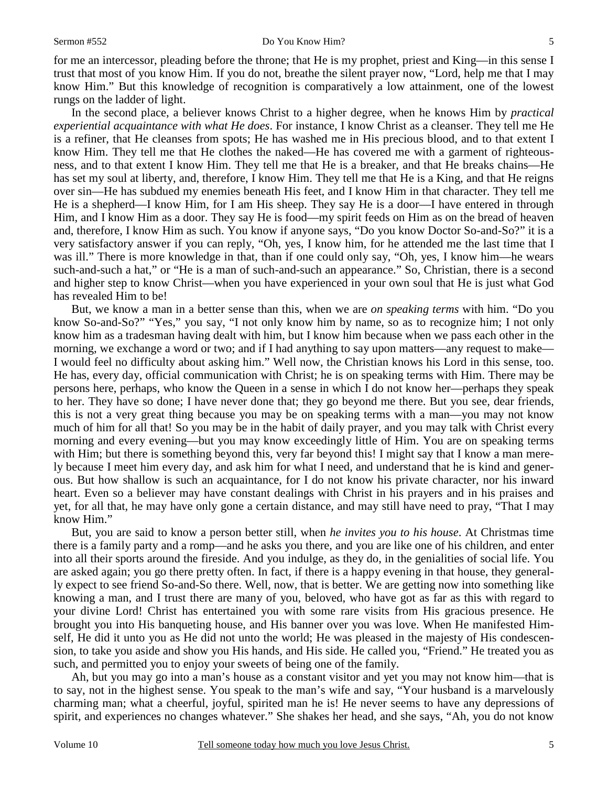for me an intercessor, pleading before the throne; that He is my prophet, priest and King—in this sense I trust that most of you know Him. If you do not, breathe the silent prayer now, "Lord, help me that I may know Him." But this knowledge of recognition is comparatively a low attainment, one of the lowest rungs on the ladder of light.

In the second place, a believer knows Christ to a higher degree, when he knows Him by *practical experiential acquaintance with what He does*. For instance, I know Christ as a cleanser. They tell me He is a refiner, that He cleanses from spots; He has washed me in His precious blood, and to that extent I know Him. They tell me that He clothes the naked—He has covered me with a garment of righteousness, and to that extent I know Him. They tell me that He is a breaker, and that He breaks chains—He has set my soul at liberty, and, therefore, I know Him. They tell me that He is a King, and that He reigns over sin—He has subdued my enemies beneath His feet, and I know Him in that character. They tell me He is a shepherd—I know Him, for I am His sheep. They say He is a door—I have entered in through Him, and I know Him as a door. They say He is food—my spirit feeds on Him as on the bread of heaven and, therefore, I know Him as such. You know if anyone says, "Do you know Doctor So-and-So?" it is a very satisfactory answer if you can reply, "Oh, yes, I know him, for he attended me the last time that I was ill." There is more knowledge in that, than if one could only say, "Oh, yes, I know him—he wears such-and-such a hat," or "He is a man of such-and-such an appearance." So, Christian, there is a second and higher step to know Christ—when you have experienced in your own soul that He is just what God has revealed Him to be!

But, we know a man in a better sense than this, when we are *on speaking terms* with him. "Do you know So-and-So?" "Yes," you say, "I not only know him by name, so as to recognize him; I not only know him as a tradesman having dealt with him, but I know him because when we pass each other in the morning, we exchange a word or two; and if I had anything to say upon matters—any request to make— I would feel no difficulty about asking him." Well now, the Christian knows his Lord in this sense, too. He has, every day, official communication with Christ; he is on speaking terms with Him. There may be persons here, perhaps, who know the Queen in a sense in which I do not know her—perhaps they speak to her. They have so done; I have never done that; they go beyond me there. But you see, dear friends, this is not a very great thing because you may be on speaking terms with a man—you may not know much of him for all that! So you may be in the habit of daily prayer, and you may talk with Christ every morning and every evening—but you may know exceedingly little of Him. You are on speaking terms with Him; but there is something beyond this, very far beyond this! I might say that I know a man merely because I meet him every day, and ask him for what I need, and understand that he is kind and generous. But how shallow is such an acquaintance, for I do not know his private character, nor his inward heart. Even so a believer may have constant dealings with Christ in his prayers and in his praises and yet, for all that, he may have only gone a certain distance, and may still have need to pray, "That I may know Him."

But, you are said to know a person better still, when *he invites you to his house*. At Christmas time there is a family party and a romp—and he asks you there, and you are like one of his children, and enter into all their sports around the fireside. And you indulge, as they do, in the genialities of social life. You are asked again; you go there pretty often. In fact, if there is a happy evening in that house, they generally expect to see friend So-and-So there. Well, now, that is better. We are getting now into something like knowing a man, and I trust there are many of you, beloved, who have got as far as this with regard to your divine Lord! Christ has entertained you with some rare visits from His gracious presence. He brought you into His banqueting house, and His banner over you was love. When He manifested Himself, He did it unto you as He did not unto the world; He was pleased in the majesty of His condescension, to take you aside and show you His hands, and His side. He called you, "Friend." He treated you as such, and permitted you to enjoy your sweets of being one of the family.

Ah, but you may go into a man's house as a constant visitor and yet you may not know him—that is to say, not in the highest sense. You speak to the man's wife and say, "Your husband is a marvelously charming man; what a cheerful, joyful, spirited man he is! He never seems to have any depressions of spirit, and experiences no changes whatever." She shakes her head, and she says, "Ah, you do not know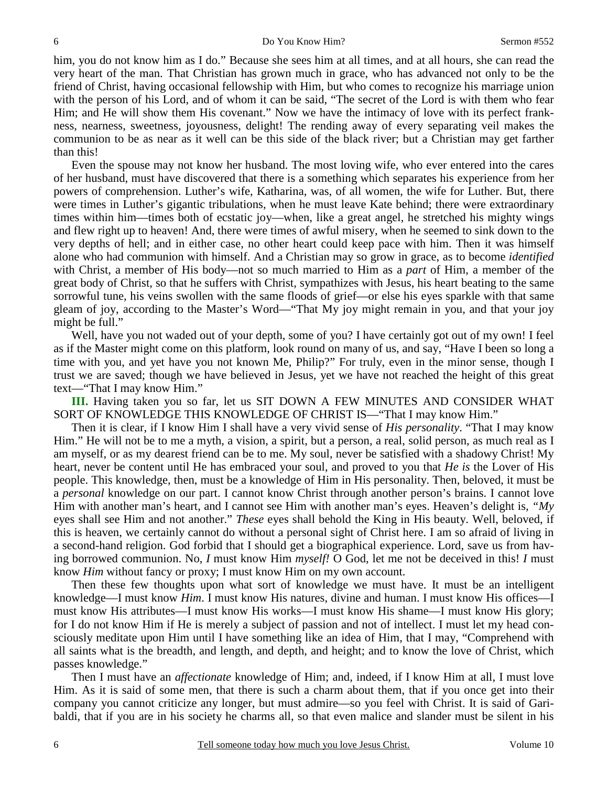him, you do not know him as I do." Because she sees him at all times, and at all hours, she can read the very heart of the man. That Christian has grown much in grace, who has advanced not only to be the friend of Christ, having occasional fellowship with Him, but who comes to recognize his marriage union with the person of his Lord, and of whom it can be said, "The secret of the Lord is with them who fear Him; and He will show them His covenant." Now we have the intimacy of love with its perfect frankness, nearness, sweetness, joyousness, delight! The rending away of every separating veil makes the communion to be as near as it well can be this side of the black river; but a Christian may get farther than this!

Even the spouse may not know her husband. The most loving wife, who ever entered into the cares of her husband, must have discovered that there is a something which separates his experience from her powers of comprehension. Luther's wife, Katharina, was, of all women, the wife for Luther. But, there were times in Luther's gigantic tribulations, when he must leave Kate behind; there were extraordinary times within him—times both of ecstatic joy—when, like a great angel, he stretched his mighty wings and flew right up to heaven! And, there were times of awful misery, when he seemed to sink down to the very depths of hell; and in either case, no other heart could keep pace with him. Then it was himself alone who had communion with himself. And a Christian may so grow in grace, as to become *identified* with Christ, a member of His body—not so much married to Him as a *part* of Him, a member of the great body of Christ, so that he suffers with Christ, sympathizes with Jesus, his heart beating to the same sorrowful tune, his veins swollen with the same floods of grief—or else his eyes sparkle with that same gleam of joy, according to the Master's Word—"That My joy might remain in you, and that your joy might be full."

Well, have you not waded out of your depth, some of you? I have certainly got out of my own! I feel as if the Master might come on this platform, look round on many of us, and say, "Have I been so long a time with you, and yet have you not known Me, Philip?" For truly, even in the minor sense, though I trust we are saved; though we have believed in Jesus, yet we have not reached the height of this great text—"That I may know Him."

**III.** Having taken you so far, let us SIT DOWN A FEW MINUTES AND CONSIDER WHAT SORT OF KNOWLEDGE THIS KNOWLEDGE OF CHRIST IS—"That I may know Him."

Then it is clear, if I know Him I shall have a very vivid sense of *His personality*. "That I may know Him." He will not be to me a myth, a vision, a spirit, but a person, a real, solid person, as much real as I am myself, or as my dearest friend can be to me. My soul, never be satisfied with a shadowy Christ! My heart, never be content until He has embraced your soul, and proved to you that *He is* the Lover of His people. This knowledge, then, must be a knowledge of Him in His personality. Then, beloved, it must be a *personal* knowledge on our part. I cannot know Christ through another person's brains. I cannot love Him with another man's heart, and I cannot see Him with another man's eyes. Heaven's delight is, *"My* eyes shall see Him and not another." *These* eyes shall behold the King in His beauty. Well, beloved, if this is heaven, we certainly cannot do without a personal sight of Christ here. I am so afraid of living in a second-hand religion. God forbid that I should get a biographical experience. Lord, save us from having borrowed communion. No, *I* must know Him *myself!* O God, let me not be deceived in this! *I* must know *Him* without fancy or proxy; I must know Him on my own account.

Then these few thoughts upon what sort of knowledge we must have. It must be an intelligent knowledge—I must know *Him*. I must know His natures, divine and human. I must know His offices—I must know His attributes—I must know His works—I must know His shame—I must know His glory; for I do not know Him if He is merely a subject of passion and not of intellect. I must let my head consciously meditate upon Him until I have something like an idea of Him, that I may, "Comprehend with all saints what is the breadth, and length, and depth, and height; and to know the love of Christ, which passes knowledge."

Then I must have an *affectionate* knowledge of Him; and, indeed, if I know Him at all, I must love Him. As it is said of some men, that there is such a charm about them, that if you once get into their company you cannot criticize any longer, but must admire—so you feel with Christ. It is said of Garibaldi, that if you are in his society he charms all, so that even malice and slander must be silent in his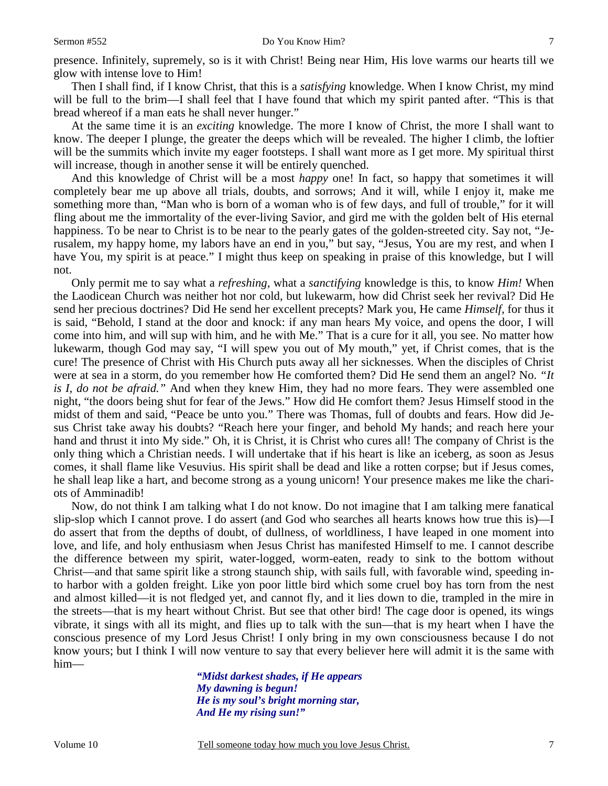presence. Infinitely, supremely, so is it with Christ! Being near Him, His love warms our hearts till we glow with intense love to Him!

Then I shall find, if I know Christ, that this is a *satisfying* knowledge. When I know Christ, my mind will be full to the brim—I shall feel that I have found that which my spirit panted after. "This is that bread whereof if a man eats he shall never hunger."

At the same time it is an *exciting* knowledge. The more I know of Christ, the more I shall want to know. The deeper I plunge, the greater the deeps which will be revealed. The higher I climb, the loftier will be the summits which invite my eager footsteps. I shall want more as I get more. My spiritual thirst will increase, though in another sense it will be entirely quenched.

And this knowledge of Christ will be a most *happy* one! In fact, so happy that sometimes it will completely bear me up above all trials, doubts, and sorrows; And it will, while I enjoy it, make me something more than, "Man who is born of a woman who is of few days, and full of trouble," for it will fling about me the immortality of the ever-living Savior, and gird me with the golden belt of His eternal happiness. To be near to Christ is to be near to the pearly gates of the golden-streeted city. Say not, "Jerusalem, my happy home, my labors have an end in you," but say, "Jesus, You are my rest, and when I have You, my spirit is at peace." I might thus keep on speaking in praise of this knowledge, but I will not.

Only permit me to say what a *refreshing,* what a *sanctifying* knowledge is this, to know *Him!* When the Laodicean Church was neither hot nor cold, but lukewarm, how did Christ seek her revival? Did He send her precious doctrines? Did He send her excellent precepts? Mark you, He came *Himself,* for thus it is said, "Behold, I stand at the door and knock: if any man hears My voice, and opens the door, I will come into him, and will sup with him, and he with Me." That is a cure for it all, you see. No matter how lukewarm, though God may say, "I will spew you out of My mouth," yet, if Christ comes, that is the cure! The presence of Christ with His Church puts away all her sicknesses. When the disciples of Christ were at sea in a storm, do you remember how He comforted them? Did He send them an angel? No. *"It is I, do not be afraid."* And when they knew Him, they had no more fears. They were assembled one night, "the doors being shut for fear of the Jews." How did He comfort them? Jesus Himself stood in the midst of them and said, "Peace be unto you." There was Thomas, full of doubts and fears. How did Jesus Christ take away his doubts? "Reach here your finger, and behold My hands; and reach here your hand and thrust it into My side." Oh, it is Christ, it is Christ who cures all! The company of Christ is the only thing which a Christian needs. I will undertake that if his heart is like an iceberg, as soon as Jesus comes, it shall flame like Vesuvius. His spirit shall be dead and like a rotten corpse; but if Jesus comes, he shall leap like a hart, and become strong as a young unicorn! Your presence makes me like the chariots of Amminadib!

Now, do not think I am talking what I do not know. Do not imagine that I am talking mere fanatical slip-slop which I cannot prove. I do assert (and God who searches all hearts knows how true this is)—I do assert that from the depths of doubt, of dullness, of worldliness, I have leaped in one moment into love, and life, and holy enthusiasm when Jesus Christ has manifested Himself to me. I cannot describe the difference between my spirit, water-logged, worm-eaten, ready to sink to the bottom without Christ—and that same spirit like a strong staunch ship, with sails full, with favorable wind, speeding into harbor with a golden freight. Like yon poor little bird which some cruel boy has torn from the nest and almost killed—it is not fledged yet, and cannot fly, and it lies down to die, trampled in the mire in the streets—that is my heart without Christ. But see that other bird! The cage door is opened, its wings vibrate, it sings with all its might, and flies up to talk with the sun—that is my heart when I have the conscious presence of my Lord Jesus Christ! I only bring in my own consciousness because I do not know yours; but I think I will now venture to say that every believer here will admit it is the same with him—

> *"Midst darkest shades, if He appears My dawning is begun! He is my soul's bright morning star, And He my rising sun!"*

Volume 10 Tell someone today how much you love Jesus Christ.